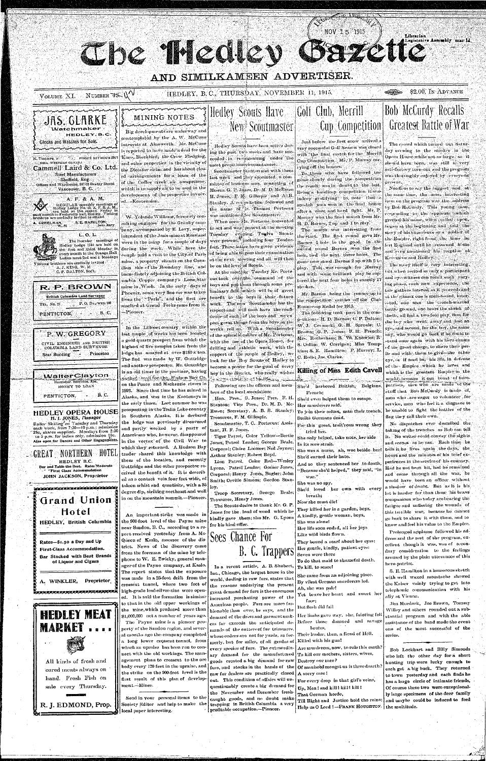CLIDE MYCCLED azette

## AND SIMILKAMEEN ADVERTISER.

NUMBER 73-11 VOLUME XI.

HEDLEY, B. C., THURSDAY, NOVEMBER 11, 1915.

#### \$2.00, IN ADVANCE **BUT AND BOOK**

**Bob McCurdy Recalls** 

Legislative Assembly that II

Librarian



### MINING NOTES mandana and dina mandana

Big developments are underway and contemplated by the A. W. McCune interests at Ainsworth. Mr. McCune is reported to have midd to deal for the Karo, Blackbird, the Crow Fledging, ind other properties in the vicinity of the Dictator claim and has about closed avrangements for a lease of the of the Coffee creek air compressor, which is to supply air to be used in the development of the properties involv-

W. Yolande Williams, formerly consulting engineer for the Grantly company, accompanied by E. Levy, superintendent of the Josie mine at Rossland were in the camp for a couple of days during the week. While here the couple paid a visit to the City of Paris mine, a property, situate on the Canadian side of the Boundary line, and immediately adjoining the British Columbia Copper company's Lone Star mine in Wash. In the early days of Phoenix, some very fine ore was taken from the ''Paris", and the first ore smelted at Grand Forks came from it

In the Lillocet country within the last couple of weeks has been located a gold quartz prospect from which the highest of five samples taken from the ledge has assayed at over \$180 w ton. The find was made by W. Guttridge and another prospector. Mr. Guttridge is an old timer in the province, having meked mulfor the Hudson Bay Co. on the Peace and Mackenzie rivers in 1893. Since that time he has mined in Alaska, and was in the Kootenays in the early times. Last summer he was prospecting in the Teslin Lake country in Southern Alaska. It is declared the ledge was previously discovered and partly worked by a party of Americans who, however, disappeared in the vortex of the Civil War to which they returned. A Hudson Bay trader shared this knowledge with them of the location, and recently Guttridge and the other prospector received the benefit of it. It is describ ed as a contact vein four feet wide, of talcon schist and quartisite, with a 35 degree dip, striking northeast and well in on the mountain summit.--Pioneer. An important strike was made in the 900 foot level of the Payne mine near Sandon, B. C., according to a report received yestetday from A. Mc-Queen of Kaslo, assessor of the district. News of the discovery came from the foreman of the mine by telephone to W. E. Zwicky, general manager of the Payne company, at Kaslo. The report states that the exposure was made in a 25-foot drift from the crosscut tunnel, where two feet of high-grade lead-silver-zinc were opened. It is said the formation is similar to that in the old upper workings of the mine, which produced more than \$1,000,000 net a number of years ago. The Payne mine is a pioneer property of the Sandon region, and several months ago the company completed

## Hedley Scouts Have New Scoutmaster

Hedley Scouts have been active during the past two weeks and have succeeded in re-organizing under the most propitious ch cumstances.

Scoutinaster Stanton met with them last week and they appointed, a com mittee of business men, consisting of Messis. G. P. Janes, Dr. M. D. McEwen H. Jones, F. M. Gillespie and A.B. Stanley. A corsultation followed and the name of In. Thomas Porteous was mentioned for Scoutmaster? When seen Mr. Porteous consented to act and was present at the meeting Tuesday evening. Twelve Scouts were present, including four Tender-

feet, Thèse latter have given evidence of being able to pass their examination at the next, inseting and all will then be on the level of Scouts.

At the meeting Tuesday Mr. Porte ous took oversthe command of thi boys and put them through some pre liminary drill which will be of great benefit to the boys in their future work. The now Scoutmaster has the respect and will soon have the coufidence of each of the boys and  ${\bf w}{\bf e}$  ex pect great things from the boys as the weeks roll on. With a Scoutinnster of the splendid calibre of Mr. Porteous with the use of the Opera House, for drilling and athletic work, with the support of the people of Hedley, we look for the Boy Scouts of Hedley to become a power for the good of every boy in the district, who really wishes Arty- di-Sales et Helleway, A Following are the officers and mem-

bers of the local association: Hon. Pres., G. Jones; Pres. F. H.

Stanton; Vice Pres., Dr. M. D. Mc-Ewen; Secretary, A. B. S. Stanley; Treasurer, F. M. Gillespie.

Scoutmaster, T. C. Porteous:

# Golf Club, Merrill Cup Competition

NOV 15 1915

Just before the first snow arrived a very successful Golf Season was closed with the final match for the Merrill Cup Competition. Mr. P. Muiray car ying off the honors.

To those who have followed the gathe closely during the competition the result was in doubt to the last. Being a handleap competition it was indeep gratifying to note that a scratch inan won in the final honor after a close and hard fight. Mr. P. Murray won the final match from Mr.  $\mathbf{H} \cdot \mathbf{D}$  . But ness, 2 op and 1 to play.

The match was interesting from the start. The first round gave Mr. Barnes 1 hole to the good. In the econd round Barnes won the first hole, tied the next, three holes. The game now stood . Barnes 2 up with 5 to play. This was enough for Murray and with some brilliant play be captured the next four holes in exactly  $17\,$ strokes.

Mr. Barnes being the crunner up in the competition carries off the Olub Runner-up Medal for 1915.

The following took part in the comp-tition: - H. D. Barnes; C. P. Dalton; W. J. Cormack, G. H. Sproule: C. Brown; G. P. Jones; F. H. French; Mrs. Rotherham; B. W. Knowles; R. S. Collin: W. Corrigan; Miss Tompkius; S. E. Hamilton; P. Murray; L. C. Rolls; Jas. Clarke.

Killing of Miss Edith Cavell

She'd harbored British, Belgians, French:

She'd even helped them to escape. Her murderers said.

To join their colors, man their trench, Strike Germans dead.

**Greatest Battle of War** The crowd which turned out Saturday evening to the smoker in the

Opera House while not as large as it should have been, was still a very satisfactory turn-out and the program was thoroughly enjoyed by everyone present.

Needless to say the biggest and at the same time, the most interesting item on the program was the address by Bob McCurdy. This young man. responding - to - the -ripplause - which greeted his mune, when called upon, began at the beginning and told the story of his experience as a soldier of the Empire, right from the time he on Eugland until he returned home and even mentioned his recption at Keremeos and Hedley.

The story itself is very interesting, out when recited as only a participant and eye-witness can recall each varying plinse, each new experience, the tale gathers interest as it proceeds and at the clining one is spell-bound, inter--ted, one sees the french-scarred battle ground, one hears the shrick of thells, all feel a two fold pity, first for the boy who went away and lost an eye, and second, for the boy, the same 10y, who would go back if he could to stand once again with his liero chums of the great charge, to share their perils and with, them to give-the other eye, or if need be, his life, in defense of the Empire which he loves and which is the greatest Empire in the world, because it can boust of heropatriots, then who are made of the stuff that Bob McCurdy is made of, men who , are eager to volunteer for scrvice, men who feel it a disgrace to be unable to fight the battles of the flag they call their own. No dispatches ever described the taking of the trenches as Bob can tell it. No writer could convey the sights and scenes as he can. Each time he tells it he lives ugain the days, the hours and the minutes of his brief experfences in the service of his country. Had he not been hit, had he remained and come through all the war, he would have been an officer without a shadow of doubt. But as it is his lot is harder far than those his brave companions who today are bearing the fatigue and suffering the wounds of this terrible war, because he cannot go back to share it with them, and to know and feel his value to the Empire. Prolonged applause followed his address and the rest of the program, excellent though it was, was of secondary consideration to the feelings aroused by the plain utterances of this hero-patriot.

ant, H. F. Jones.

Tiger Patrol, Color Yellow-Bertie Jones, Patrol, Leader; George, Béale Corporal; Claire Loomer; Ned Joyner: Arthur Stanley; Robert Boyd. Lion Patrol, Color Red-Wesley Lyons, Patrol Leader, Gomer Jones, Corporal; Henry Jones, Bugler; John Smith; Orville Simons; Gordon Stanley.

Troop Secretary, George Beale; Preasurer, Henry Jones.

The Scouts desire to thank Mr. G. P. fones for the , load of wood which he kindly gave them; also Mr. G. Lyons for his kind offer.

Sees Chance For B. C. Trappers

In a recent article, A. B. Shubert, Inc., Chicago, the largest house in the world, dealing in raw furs, states that the reasons underlying the present great demand for furs is the enormous increased purchasing power of the American people. Furs are more fashionable than "ever, he"says," and the demand of the dress and garment makers far exceeds the anticipated demands of the cutters of fur trimmers, whose orders are not for yards, as formerly, but for miles, of all grades of every species of furs. The extraordinary demand for the manufactured goods created a big demand for raw furs, and stocks in the hands of the raw fur dealers are practically closed out. This condition of affairs will unquestionably create a big demand for the November and December freshcaught goods, and no doubt make trapping in British Columbia a very profitable occupation.--Pioneor.

For this great, trait rous wrong they tried her. She only holped, take note, her side In its sore strait. She was a nurse, ah, woe betide her! She'd earned their hate. And so they sentenced her to death "Because she'd helped," they said, "in war." She was no spy. She'd loved her own with every breath; Now she must die! They killed her in a garden, boys, A kindly, gentle woman, boys, She was alone! Her life soon ended, all her joys Like wild birds flown. They bound a searf about her eyes: Her gentle, kindly, patient eyes: Seven were there To do that maid to shameful death,

To kill, to scare! She came from an adjoining place.

By vilest German murdercrs led. Ah, she was pale!

Yet brave her heart and sweet her façe;

But flesh did fail

Her limbs gave way, she, fainting fell Before those damned and savage brutes,

Their leader, then, a fiend of Hell. Killed with his gun!

Are murderers, now, to rule this earth? To kill our mothers, sisters, wives, Destroy our race?

Of manhood mongst us is there dearth? A sorry case!

For every drop in that girl's veins, Up, Men ! and kill ! kill ! kill ! That German horde,

Till Right and Justice hold the reius; Help us O Lord !--FRANK HOUGHTON.

S. E. Hamilton in a humorous sketch with well waxed moustache showed the Kaiser vainly trying to get into telephonic communication with his ally at Vienna.

Jim Murdock, Joe Brown, Tommy Willey and others rounded out a substantial program and with the able assistance of the band made the event one of the most successful of the scries.

Bob Lockhart and Billy Simonds who left the other day for a short hunting trip were lucky enough to each get a big buck. They returned to town yesterday and each finds he has a large circle of intimate friends, Of course these two were exceptionally large specimens of the deer family and maybe could be induced to feed the multitude.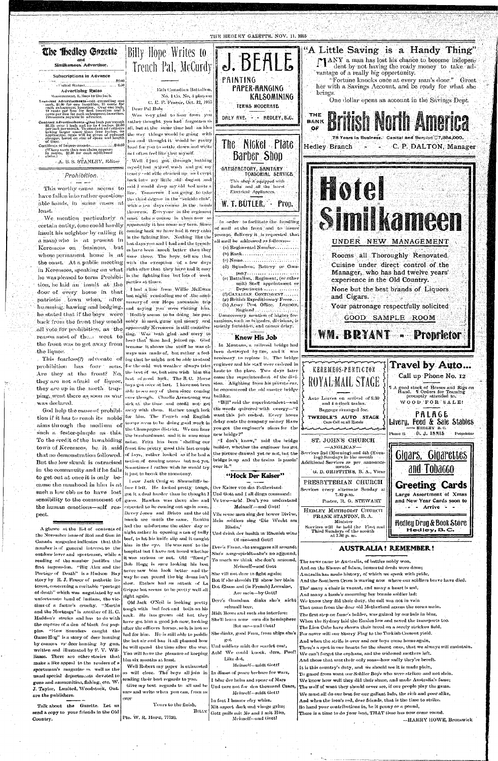

such a fester-pimple as this. To the credit of the lawabiding town of Keremeos, be it said that no demonstration followed. But the low skunk is ostracised in the community and if he fails to get out at once it is only because the manhood in him is at such a low obb as to have lost sensibility to the commonest of the human emotions—self respect.

A glance at the list of contents of the November issue of Rod and Gun in Canada magazine indicates that this number is of general interest to the outdoor lover and sportsman, while a reading of the number justifies the first impression. "Big Alex and the Portage of Death" is a Hudson Bay story by R. J. Fraser of pathetic interest, concerning a veritable "portage of death" which was negotiated by an unfortunate band of Indians, the victims of a factor's cruelty. "Martin and the Mortgage" is another of H. C. Haddon's stories and has to do with the capture of a den of black fox puppies. "How Saunders caught the Game Hog" is a story of deer hunting by camera vs deer hunting by gun, written and illustrated by F. V. Williams. There are other stories that make a like appeal to the readers of a sportsman's magazine as well as the usual special departments devoted to guns and ammunition, fishing, etc. W. J. Taylor, Limited, Woodstock, Ont. are the publishers.

Talk about the Gazette. Let us send a copy to your friends in the Old Country.

the Champagne district.We can hear the bombardment and it is sure some noise. Fritz has been shelling our front line pretty good this last couple of lays, rather looked as if he had a notion of coming across but not yet. Sometimes I rather wish he would try it just to break the monotony.

I saw Jack Craig at Shorncliffe be- $\log I$  left. He looked pretty tough, got it a deal-hurder-than he thought  ${\bf I}$ guess. Hawkes was there also and expected to be coming out again soon.

Davey Jones and Bristo and the old } bunch are much the same. Rankin had the  $\,$  misfortune the other  $\,$  day or night rather in opening a can of bully beef, to let his knife-slip and it caught him in the eye. He was sent to the hospital but I have not heard whether it was serious or not. Old "Rusty" Bob Hogg is sure looking his best never saw bim look better and the way he can pound the big drum isn't slow. Etches had an attack of La Grippe but seems to be pretty well all ight again.

Old Jack O'Neil is looking pretty tongh with - bad feet and - boils on his ieck. He has grown old but they have-got-him a-good job now, looking after the officers' horses, so it is not so and for him. He is still able to peddle the hot air and has it all planned how he will spend—the time after | the war. You will have the pleasure of keeping him six months at least.

Well Robert my paper is exhausted  $\rm o\,$  will close. The boys all join in  $\rm |$ sending their best regards to you. Give my best regards to all and be sure and write when you can, from as ever.

Yours to the finish, Pte. W. R. Hope, 77720.

Billy

new bridge?" "I don't know," said the bridge builder, whether the engineer has got the picture drawed yet or not, but the bridge is up and the trains is passin' over it."

### "Hock Der Kaiser"

Der Kaiser von das Fatherland-Und Gott and I all dings command: Ve two-ach! Don't you understand Meinself -und Gott!

Vile some men sing der hower Divine, Mein soldiers sing 'Die Wacht am Rhein,'

Und drink der health in Rhenish wine Of me-und Gott! Dere's Franc, she swaggers all aroundt She's ausgespieldt—she's no aggound, To much we think she don't amound, Meinself-und Gott

She vill not dare to fight again; But if she shouldt Pll show her blain Dot Elsass and (in French) Lorraine, Are mein-by Gott!

Dere's Grandma dinks she's nicht schmall beer,

Midt Beors and such she interfere: She'll learn none own dis hemisphere But me-und Gott!

She dinks, good Frau, from ships she's got

Und soldiers midt der scarlet coat, Ach! We could knock, dem, Poof! Like dot,

Meinself-midt Gott! In dimes of peace brebare for wars, I bear der helm and spear of Mars Und care not for den thousand Czars, Meinself--midt Gott!

In fact I humor efry whim, Mit aspect dark und visage grim; Gott pulls mit Me and I mit Him, Meinself--und Gott!



It is this country's duty, and we should see it is made plain, To guard from want our Soldier Boys who were striken and not slain. We know how well they did their share, and made Australia's fame; The wolf of want they should never see, if our people play the game. We must all do our best for our gallant lads, the rich and poor alike, And when the iron's red, dear friends, that is the time to strike. So hand your contributions in, be it penny or a pound, There is a time to do your best, THAT time has now come round.

-HARRY HOWE, Brunswick

 $D. J.$  INNIS

Proprietor

Phone 12.